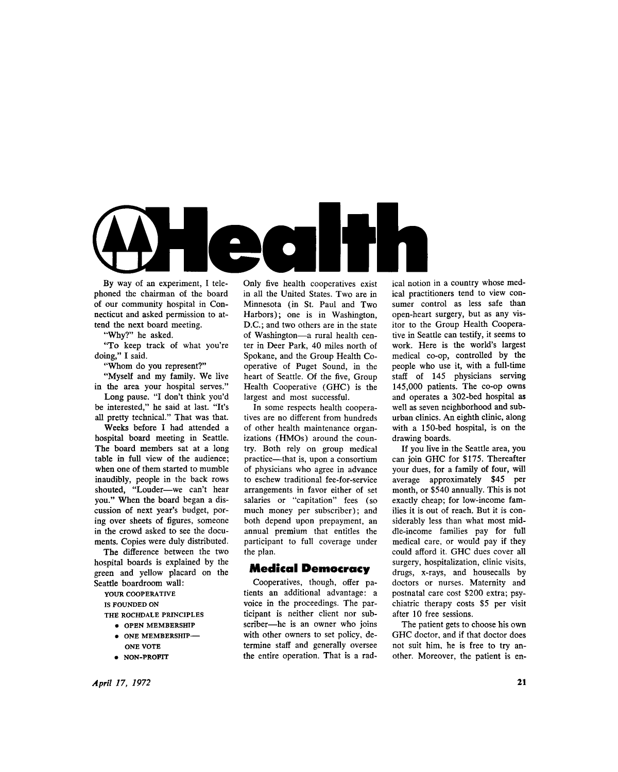

By way of an experiment, I telephoned the chairman of the board of our community hospital in Connecticut and asked permission to attend the next board meeting.

"Why?" he asked.

"To keep track of what you're doing," I said.

"Whom do you represent?"

"Myself and my family. We live in the area your hospital serves."

Long pause. "I don't think you'd be interested," he said at last. "It's all pretty technical." That was that.

Weeks before I had attended a hospital board meeting in Seattle. The board members sat at a long table in full view of the audience; when one of them started to mumble inaudibly, people in the back rows shouted, "Louder—we can't hear you." When the board began a discussion of next year's budget, poring over sheets of figures, someone in the crowd asked to see the documents. Copies were duly distributed.

The difference between the two hospital boards is explained by the green and yellow placard on the Seattle boardroom wall:

**YOUR COOPERATIVE IS FOUNDED ON** 

**THE ROCHDALE PRINCIPLES** 

- **OPEN MEMBERSHIP**
- **ONE MEMBERSHIP-ONE VOTE**
- **NON-PROFIT**

Only five health cooperatives exist in all the United States. Two are in Minnesota (in St. Paul and Two Harbors); one is in Washington, D.C.; and two others are in the state of Washington—a rural health center in Deer Park, 40 miles north of Spokane, and the Group Health Cooperative of Puget Sound, in the heart of Seattle. Of the five, Group Health Cooperative (GHC) is the largest and most successful.

In some respects health cooperatives are no different from hundreds of other health maintenance organizations (HMOs) around the country. Both rely on group medical practice—that is, upon a consortium of physicians who agree in advance to eschew traditional fee-for-service arrangements in favor either of set salaries or "capitation" fees (so much money per subscriber); and both depend upon prepayment, an annual premium that entitles the participant to full coverage under the plan.

#### Medical Democrac y

Cooperatives, though, offer patients an additional advantage: a voice in the proceedings. The participant is neither client nor subscriber—he is an owner who joins with other owners to set policy, determine staff and generally oversee the entire operation. That is a rad-

ical notion in a country whose medical practitioners tend to view consumer control as less safe than open-heart surgery, but as any visitor to the Group Health Cooperative in Seattle can testify, it seems to work. Here is the world's largest medical co-op, controlled by the people who use it, with a full-time staff of 145 physicians serving 145,000 patients. The co-op owns and operates a 302-bed hospital as well as seven neighborhood and suburban clinics. An eighth clinic, along with a 150-bed hospital, is on the drawing boards.

If you live in the Seattle area, you can join GHC for \$175. Thereafter your dues, for a family of four, will average approximately \$45 per month, or \$540 annually. This is not exactly cheap; for low-income families it is out of reach. But it is considerably less than what most middle-income families pay for full medical care, or would pay if they could afford it. GHC dues cover all surgery, hospitalization, clinic visits, drugs, x-rays, and housecalls by doctors or nurses. Maternity and postnatal care cost \$200 extra; psychiatric therapy costs \$5 per visit after 10 free sessions.

The patient gets to choose his own GHC doctor, and if that doctor does not suit him, he is free to try another. Moreover, the patient is en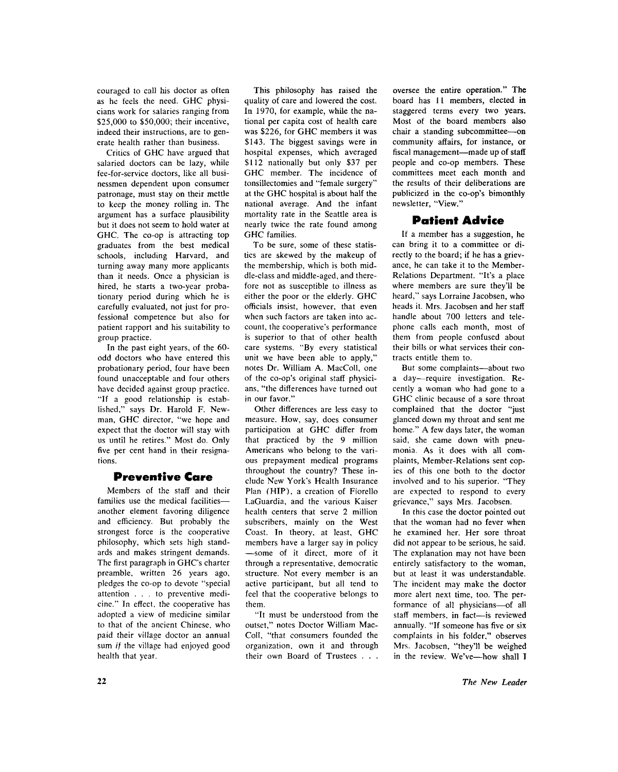couraged to call his doctor as often as he feels the need. GHC physicians work for salaries ranging from \$25,000 to \$50,000; their incentive, indeed their instructions, are to generate health rather than business.

Critics of GHC have argued that salaried doctors can be lazy, while fee-for-service doctors, like all businessmen dependent upon consumer patronage, must stay on their mettle to keep the money rolling in. The argument has a surface plausibility but it does not seem to hold water at GHC. The co-op is attracting top graduates from the best medical schools, including Harvard, and turning away many more applicants than it needs. Once a physician is hired, he starts a two-year probationary period during which he is carefully evaluated, not just for professional competence but also for patient rapport and his suitability to group practice.

In the past eight years, of the 60 odd doctors who have entered this probationary period, four have been found unacceptable and four others have decided against group practice. "If a good relationship is established," says Dr. Harold F. Newman, GHC director, "we hope and expect that the doctor will stay with us until he retires." Most do. Only five per cent hand in their resignations.

### Preventive Care

Members of the staff and their families use the medical facilities another element favoring diligence and efficiency. But probably the strongest force is the cooperative philosophy, which sets high standards and makes stringent demands. The first paragraph in GHC's charter preamble, written 26 years ago, pledges the co-op to devote "special attention .. . to preventive medicine." In effect, the cooperative has adopted a view of medicine similar to that of the ancient Chinese, who paid their village doctor an annual sum *if* the village had enjoyed good health that year.

This philosophy has raised the quality of care and lowered the cost. In 1970, for example, while the national per capita cost of health care was \$226, for GHC members it was \$143. The biggest savings were in hospital expenses, which averaged \$112 nationally but only \$37 per GHC member. The incidence of tonsillectomies and "female surgery" at the GHC hospital is about half the national average. And the infant mortality rate in the Seattle area is nearly twice the rate found among GHC families.

To be sure, some of these statistics are skewed by the makeup of the membership, which is both middle-class and middle-aged, and therefore not as susceptible to illness as either the poor or the elderly. GHC officials insist, however, that even when such factors are taken into account, the cooperative's performance is superior to that of other health care systems. "By every statistical unit we have been able to apply," notes Dr. William A. MacColl, one of the co-op's original staff physicians, "the differences have turned out in our favor."

Other differences are less easy to measure. How, say, does consumer participation at GHC differ from that practiced by the 9 million Americans who belong to the various prepayment medical programs throughout the country? These include New York's Health Insurance Plan (HIP), a creation of Fiorello LaGuardia, and the various Kaiser health centers that serve 2 million subscribers, mainly on the West Coast. In theory, at least, GHC members have a larger say in policy —some of it direct, more of it through a representative, democratic structure. Not every member is an active participant, but all tend to feel that the cooperative belongs to them.

"It must be understood from the outset." notes Doctor William Mac-Coll, "that consumers founded the organization, own it and through their own Board of Trustees . . . oversee the entire operation." The board has 11 members, elected in staggered terms every two years. Most of the board members also chair a standing subcommittee—on community affairs, for instance, or fiscal management—made up of staff people and co-op members. These committees meet each month and the results of their deliberations are publicized in the co-op's bimonthly newsletter, "View. "

# **Patient Advice**

If a member has a suggestion, he can bring it to a committee or directly to the board; if he has a grievance, he can take it to the Member-Relations Department. "It's a place where members are sure they'll be heard," says Lorraine Jacobsen, who heads it. Mrs. Jacobsen and her staff handle about 700 letters and telephone calls each month, most of them from people confused about their bills or what services their contracts entitle them to.

But some complaints—about two a day—require investigation. Recently a woman who had gone to a GHC clinic because of a sore throat complained that the doctor "just glanced down my throat and sent me home." A few days later, the woman said, she came down with pneumonia. As it does with all complaints, Member-Relations sent copies of this one both to the doctor involved and to his superior. "They are expected to respond to every grievance," says Mrs. Jacobsen.

In this case the doctor pointed out that the woman had no fever when he examined her. Her sore throat did not appear to be serious, he said. The explanation may not have been entirely satisfactory to the woman, but at least it was understandable. The incident may make the doctor more alert next time, too. The performance of all physicians—of all staff members, in fact—is reviewed annually. "If someone has five or six complaints in his folder," observes Mrs. Jacobsen, "they'll be weighed in the review. We've—how shall I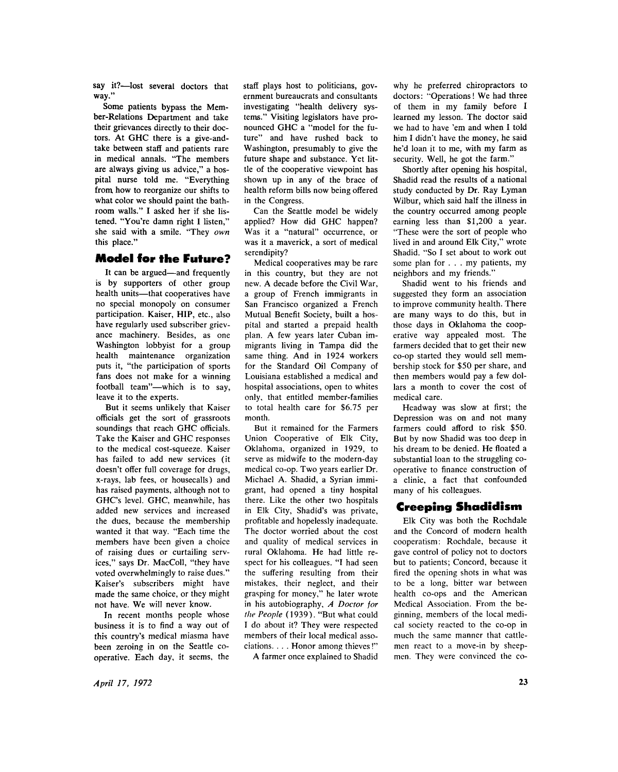say it?—lost several doctors that way."

Some patients bypass the Member-Relations Department and take their grievances directly to their doctors. At GHC there is a give-andtake between staff and patients rare in medical annals. "The members are always giving us advice," a hospital nurse told me. "Everything from how to reorganize our shifts to what color we should paint the bathroom walls." I asked her if she listened. "You're damn right I listen," she said with a smile. "They *own*  this place."

### Model for the Future?

It can be argued—and frequently is by supporters of other group health units—that cooperatives have no special monopoly on consumer participation. Kaiser, HIP, etc., also have regularly used subscriber grievance machinery. Besides, as one Washington lobbyist for a group health maintenance organization puts it, "the participation of sports fans does not make for a winning football team"—which is to say, leave it to the experts.

But it seems unlikely that Kaiser officials get the sort of grassroots soundings that reach GHC officials. Take the Kaiser and GHC responses to the medical cost-squeeze. Kaiser has failed to add new services (it doesn't offer full coverage for drugs, x-rays, lab fees, or housecalls) and has raised payments, although not to GHC's level. GHC, meanwhile, has added new services and increased the dues, because the membership wanted it that way. "Each time the members have been given a choice of raising dues or curtailing services," says Dr. MacColl, "they have voted overwhelmingly to raise dues." Kaiser's subscribers might have made the same choice, or they might not have. We will never know.

In recent months people whose business it is to find a way out of this country's medical miasma have been zeroing in on the Seattle cooperative. Each day, it seems, the

staff plays host to politicians, government bureaucrats and consultants investigating "health delivery systems." Visiting legislators have pronounced GHC a "model for the future" and have rushed back to Washington, presumably to give the future shape and substance. Yet little of the cooperative viewpoint has shown up in any of the brace of health reform bills now being offered in the Congress.

Can the Seattle model be widely applied? How did GHC happen? Was it a "natural" occurrence, or was it a maverick, a sort of medical serendipity?

Medical cooperatives may be rare in this country, but they are not new. A decade before the Civil War, a group of French immigrants in San Francisco organized a French Mutual Benefit Society, built a hospital and started a prepaid health plan. A few years later Cuban immigrants living in Tampa did the same thing. And in 1924 workers for the Standard Oil Company of Louisiana established a medical and hospital associations, open to whites only, that entitled member-families to total health care for \$6.75 per month.

But it remained for the Farmers Union Cooperative of Elk City, Oklahoma, organized in 1929, to serve as midwife to the modern-day medical co-op. Two years earlier Dr. Michael A. Shadid, a Syrian immigrant, had opened a tiny hospital there. Like the other two hospitals in Elk City, Shadid's was private, profitable and hopelessly inadequate. The doctor worried about the cost and quality of medical services in rural Oklahoma. He had little respect for his colleagues. "I had seen the suffering resulting from their mistakes, their neglect, and their grasping for money," he later wrote in his autobiography, *A Doctor for the People* (1939). "But what could I do about it? They were respected members of their local medical associations. . . . Honor among thieves!"

A farmer once explained to Shadid

why he preferred chiropractors to doctors: "Operations! We had three of them in my family before I learned my lesson. The doctor said we had to have 'em and when I told him I didn't have the money, he said he'd loan it to me, with my farm as security. Well, he got the farm."

Shortly after opening his hospital, Shadid read the results of a national study conducted by Dr. Ray Lyman Wilbur, which said half the illness in the country occurred among people earning less than \$1,200 a year. "These were the sort of people who lived in and around Elk City," wrote Shadid. "So I set about to work out some plan for . . . my patients, my neighbors and my friends."

Shadid went to his friends and suggested they form an association to improve community health. There are many ways to do this, but in those days in Oklahoma the cooperative way appealed most. The farmers decided that to get their new co-op started they would sell membership stock for \$50 per share, and then members would pay a few dollars a month to cover the cost of medical care.

Headway was slow at first; the Depression was on and not many farmers could afford to risk \$50. But by now Shadid was too deep in his dream to be denied. He floated a substantial loan to the struggling cooperative to finance construction of a clinic, a fact that confounded many of his colleagues.

# **Creeping Shadidism**

Elk City was both the Rochdale and the Concord of modern health cooperatism: Rochdale, because it gave control of policy not to doctors but to patients; Concord, because it fired the opening shots in what was to be a long, bitter war between health co-ops and the American Medical Association. From the beginning, members of the local medical society reacted to the co-op in much the same manner that cattlemen react to a move-in by sheepmen. They were convinced the co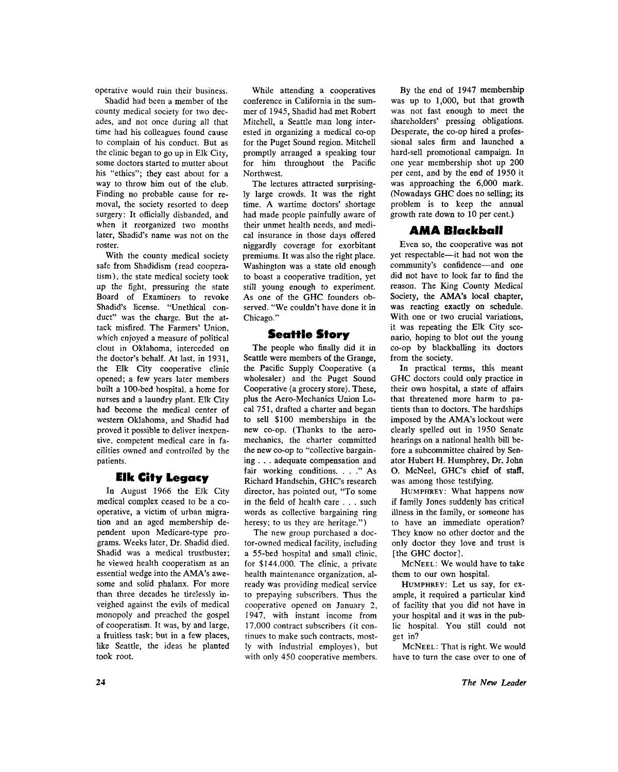operative would ruin their business.

Shadid had been a member of the county medical society for two decades, and not once during all that time had his colleagues found cause to complain of his conduct. But as the clinic began to go up in Elk City, some doctors started to mutter about his "ethics"; they cast about for a way to throw him out of the club. Finding no probable cause for removal, the society resorted to deep surgery: It officially disbanded, and when it reorganized two months later, Shadid's name was not on the roster.

With the county medical society safe from Shadidism (read cooperatism), the state medical society took up the fight, pressuring the state Board of Examiners to revoke Shadid's license. "Unethical conduct" was the charge. But the attack misfired. The Farmers' Union, which enjoyed a measure of political clout in Oklahoma, interceded on the doctor's behalf. At last, in 1931, the Elk City cooperative clinic opened; a few years later members built a 100-bed hospital, a home for nurses and a laundry plant. Elk City had become the medical center of western Oklahoma, and Shadid had proved it possible to deliver inexpensive, competent medical care in facilities owned and controlled by the patients.

### **Elk City Legacy**

In August 1966 the Elk City medical complex ceased to be a cooperative, a victim of urban migration and an aged membership dependent upon Medicare-type programs. Weeks later, Dr. Shadid died. Shadid was a medical trustbuster; he viewed health cooperatism as an essential wedge into the AMA's awesome and solid phalanx. For more than three decades he tirelessly inveighed against the evils of medical monopoly and preached the gospel of cooperatism. It was, by and large, a fruitless task; but in a few places, like Seattle, the ideas he planted took root.

While attending a cooperatives conference in California in the summer of 1945, Shadid had met Robert Mitchell, a Seattle man long interested in organizing a medical co-op for the Puget Sound region. Mitchell promptly arranged a speaking tour for him throughout the Pacific Northwest.

The lectures attracted surprisingly large crowds. It was the right time. A wartime doctors' shortage had made people painfully aware of their unmet health needs, and medical insurance in those days offered niggardly coverage for exorbitant premiums. It was also the right place. Washington was a state old enough to boast a cooperative tradition, yet still young enough to experiment. As one of the GHC founders observed. "We couldn't have done it in Chicago."

### Seattle Story

The people who finally did it in Seattle were members of the Grange, the Pacific Supply Cooperative (a wholesaler) and the Puget Sound Cooperative (a grocery store). These, plus the Aero-Mechanics Union Lo cal 751, drafted a charter and began to sell \$100 memberships in the new co-op. (Thanks to the aeromechanics, the charter committed the new co-op to "collective bargaining . . . adequate compensation and fair working conditions. . . ." As Richard Handschin, GHC's research director, has pointed out, "To some in the field of health care . . . such words as collective bargaining ring heresy; to us they are heritage.")

The new group purchased a doctor-owned medical facility, including a 55-bed hospital and small clinic, for \$144,000. The clinic, a private health maintenance organization, already was providing medical service to prepaying subscribers. Thus the cooperative opened on January 2, 1947, with instant income from 17,000 contract subscribers (it continues to make such contracts, mostly with industrial employes), but with only 450 cooperative members.

By the end of 1947 membership was up to 1,000, but that growth was not fast enough to meet the shareholders' pressing obligations. Desperate, the co-op hired a professional sales firm and launched a hard-sell promotional campaign. In one year membership shot up 200 per cent, and by the end of 1950 it was approaching the 6,000 mark. (Nowadays GHC does no selling; its problem is to keep the annual growth rate down to 10 per cent.)

## AMA Blackball

Even so, the cooperative was not yet respectable—it had not won the community's confidence—and one did not have to look far to find the reason. The King County Medical Society, the AMA's local chapter, was reacting exactly on schedule. With one or two crucial variations, it was repeating the Elk City scenario, hoping to blot out the young co-op by blackballing its doctors from the society.

In practical terms, this meant GHC doctors could only practice in their own hospital, a state of affairs that threatened more harm to patients than to doctors. The hardships imposed by the AMA's lockout were clearly spelled out in 1950 Senate hearings on a national health bill before a subcommittee chaired by Senator Hubert H. Humphrey, Dr. John O. McNeel, GHC's chief of staff, was among those testifying.

HUMPHREY: What happens now if family Jones suddenly has critical illness in the family, or someone has to have an immediate operation? They know no other doctor and the only doctor they love and trust is [the GHC doctor].

MCNEEL: We would have to take them to our own hospital.

HUMPHREY: Let us say, for example, it required a particular kind of facility that you did not have in your hospital and it was in the public hospital. You still could not get in?

MCNEEL : That is right. We would have to turn the case over to one of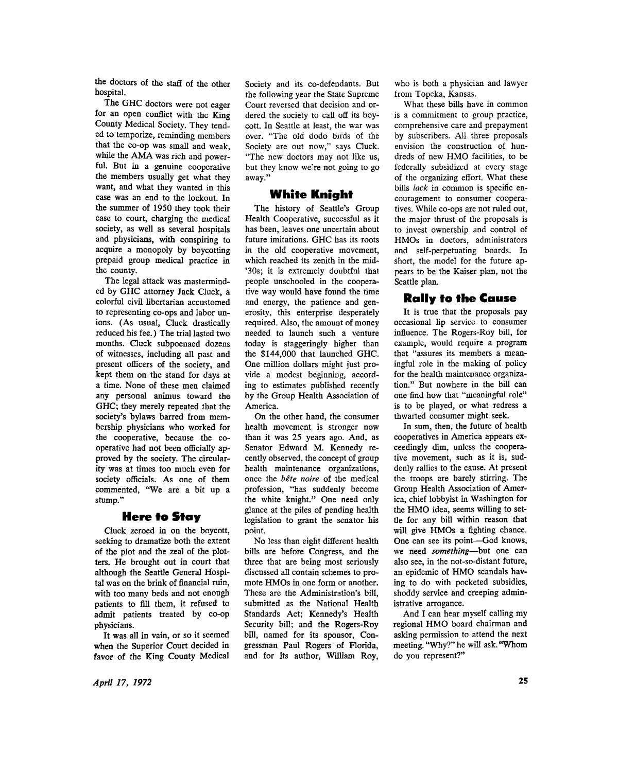the doctors of the staff of the other hospital.

The GHC doctors were not eager for an open conflict with the King County Medical Society. They tended to temporize, reminding members that the co-op was small and weak, while the AMA was rich and powerful. But in a genuine cooperative the members usually get what they want, and what they wanted in this case was an end to the lockout. In the summer of 1950 they took their case to court, charging the medical society, as well as several hospitals and physicians, with conspiring to acquire a monopoly by boycotting prepaid group medical practice in the county.

The legal attack was masterminded by GHC attorney Jack Cluck, a colorful civil libertarian accustomed to representing co-ops and labor unions. (As usual, Cluck drastically reduced his fee.) The trial lasted two months. Cluck subpoenaed dozens of witnesses, including all past and present officers of the society, and kept them on the stand for days at a time. None of these men claimed any personal animus toward the GHC; they merely repeated that the society's bylaws barred from membership physicians who worked for the cooperative, because the cooperative had not been officially approved by the society. The circularity was at times too much even for society officials. As one of them commented, "We are a bit up a stump."

### **Here to Stay**

Cluck zeroed in on the boycott, seeking to dramatize both the extent of the plot and the zeal of the plotters. He brought out in court that although the Seattle General Hospital was on the brink of financial ruin, with too many beds and not enough patients to fill them, it refused to admit patients treated by co-op physicians.

It was all in vain, or so it seemed when the Superior Court decided in favor of the King County Medical Society and its co-defendants. But the following year the State Supreme Court reversed that decision and ordered the society to call off its boycott. In Seattle at least, the war was over. "The old dodo birds of the Society are out now," says Cluck. "The new doctors may not like us, but they know we're not going to go away."

## White Knight

The history of Seattle's Group Health Cooperative, successful as it has been, leaves one uncertain about future imitations. GHC has its roots in the old cooperative movement, which reached its zenith in the mid- \*30s; it is extremely doubtful that people unschooled in the cooperative way would have found the time and energy, the patience and generosity, this enterprise desperately required. Also, the amount of money needed to launch such a venture today is staggeringly higher than the \$144,000 that launched GHC. One million dollars might just provide a modest beginning, according to estimates published recently by the Group Health Association of America.

On the other hand, the consumer health movement is stronger now than it was 25 years ago. And, as Senator Edward M. Kennedy recently observed, the concept of group health maintenance organizations, once the *bete noire* of the medical profession, "has suddenly become the white knight." One need only glance at the piles of pending health legislation to grant the senator his point.

No less than eight different health bills are before Congress, and the three that are being most seriously discussed all contain schemes to promote HMOs in one form or another. These are the Administration's bill, submitted as the National Health Standards Act; Kennedy's Health Security bill; and the Rogers-Roy bill, named for its sponsor, Congressman Paul Rogers of Florida, and for its author, William Roy,

who is both a physician and lawyer from Topeka, Kansas.

What these bills have in common is a commitment to group practice, comprehensive care and prepayment by subscribers. All three proposals envision the construction of hundreds of new HMO facilities, to be federally subsidized at every stage of the organizing effort. What these bills *lack* in common is specific encouragement to consumer cooperatives. While co-ops are not ruled out, the major thrust of the proposals is to invest ownership and control of HMO<sub>s</sub> in doctors, administrators and self-perpetuating boards. In short, the model for the future appears to be the Kaiser plan, not the Seattle plan.

# **Rally to the Cause**

It is true that the proposals pay occasional lip service to consumer influence. The Rogers-Roy bill, for example, would require a program that "assures its members a meaningful role in the making of policy for the health maintenance organization." But nowhere in the bill can one find how that "meaningful role" is to be played, or what redress a thwarted consumer might seek.

In sum, then, the future of health cooperatives in America appears exceedingly dim, unless the cooperative movement, such as it is, suddenly rallies to the cause. At present the troops are barely stirring. The Group Health Association of America, chief lobbyist in Washington for the HMO idea, seems willing to settle for any bill within reason that will give HMOs a fighting chance. One can see its point—God knows, we need *something*—but one can also see, in the not-so-distant future, an epidemic of HMO scandals having to do with pocketed subsidies, shoddy service and creeping administrative arrogance.

And I can hear myself calling my regional HMO board chairman and asking permission to attend the next meeting. "Why?" he will ask. "Whom do you represent?"